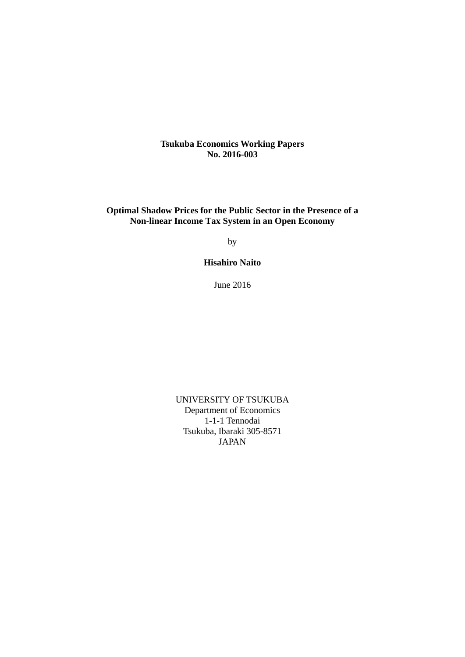**Tsukuba Economics Working Papers No. 2016-003**

**Optimal Shadow Prices for the Public Sector in the Presence of a Non-linear Income Tax System in an Open Economy** 

by

**Hisahiro Naito** 

June 2016

UNIVERSITY OF TSUKUBA Department of Economics 1-1-1 Tennodai Tsukuba, Ibaraki 305-8571 JAPAN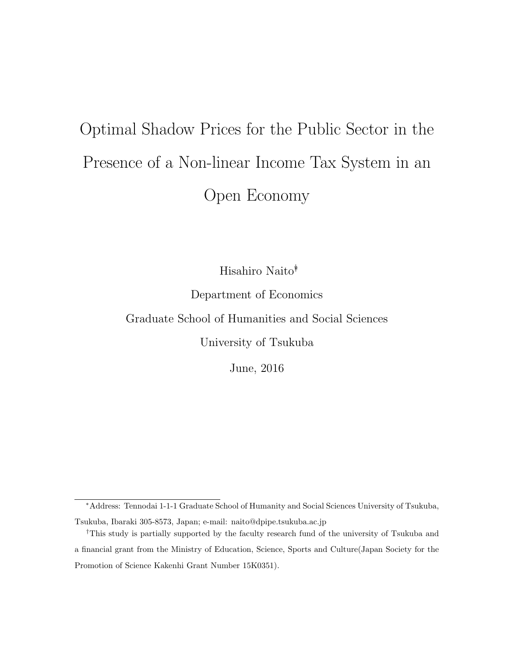# Optimal Shadow Prices for the Public Sector in the Presence of a Non-linear Income Tax System in an Open Economy

Hisahiro Naito∗†

Department of Economics

Graduate School of Humanities and Social Sciences

University of Tsukuba

June, 2016

<sup>∗</sup>Address: Tennodai 1-1-1 Graduate School of Humanity and Social Sciences University of Tsukuba,

Tsukuba, Ibaraki 305-8573, Japan; e-mail: naito@dpipe.tsukuba.ac.jp

<sup>†</sup>This study is partially supported by the faculty research fund of the university of Tsukuba and a financial grant from the Ministry of Education, Science, Sports and Culture(Japan Society for the Promotion of Science Kakenhi Grant Number 15K0351).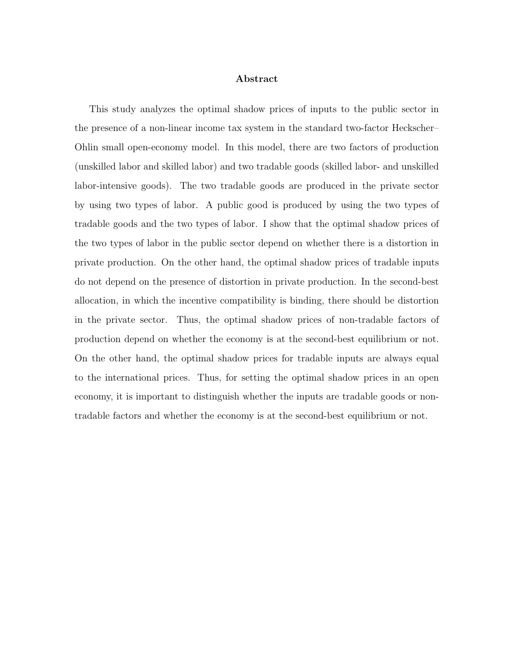# Abstract

This study analyzes the optimal shadow prices of inputs to the public sector in the presence of a non-linear income tax system in the standard two-factor Heckscher– Ohlin small open-economy model. In this model, there are two factors of production (unskilled labor and skilled labor) and two tradable goods (skilled labor- and unskilled labor-intensive goods). The two tradable goods are produced in the private sector by using two types of labor. A public good is produced by using the two types of tradable goods and the two types of labor. I show that the optimal shadow prices of the two types of labor in the public sector depend on whether there is a distortion in private production. On the other hand, the optimal shadow prices of tradable inputs do not depend on the presence of distortion in private production. In the second-best allocation, in which the incentive compatibility is binding, there should be distortion in the private sector. Thus, the optimal shadow prices of non-tradable factors of production depend on whether the economy is at the second-best equilibrium or not. On the other hand, the optimal shadow prices for tradable inputs are always equal to the international prices. Thus, for setting the optimal shadow prices in an open economy, it is important to distinguish whether the inputs are tradable goods or nontradable factors and whether the economy is at the second-best equilibrium or not.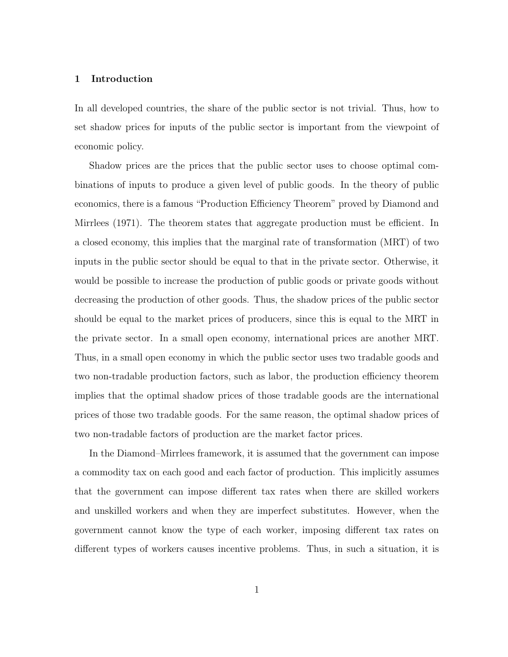# 1 Introduction

In all developed countries, the share of the public sector is not trivial. Thus, how to set shadow prices for inputs of the public sector is important from the viewpoint of economic policy.

Shadow prices are the prices that the public sector uses to choose optimal combinations of inputs to produce a given level of public goods. In the theory of public economics, there is a famous "Production Efficiency Theorem" proved by Diamond and Mirrlees (1971). The theorem states that aggregate production must be efficient. In a closed economy, this implies that the marginal rate of transformation (MRT) of two inputs in the public sector should be equal to that in the private sector. Otherwise, it would be possible to increase the production of public goods or private goods without decreasing the production of other goods. Thus, the shadow prices of the public sector should be equal to the market prices of producers, since this is equal to the MRT in the private sector. In a small open economy, international prices are another MRT. Thus, in a small open economy in which the public sector uses two tradable goods and two non-tradable production factors, such as labor, the production efficiency theorem implies that the optimal shadow prices of those tradable goods are the international prices of those two tradable goods. For the same reason, the optimal shadow prices of two non-tradable factors of production are the market factor prices.

In the Diamond–Mirrlees framework, it is assumed that the government can impose a commodity tax on each good and each factor of production. This implicitly assumes that the government can impose different tax rates when there are skilled workers and unskilled workers and when they are imperfect substitutes. However, when the government cannot know the type of each worker, imposing different tax rates on different types of workers causes incentive problems. Thus, in such a situation, it is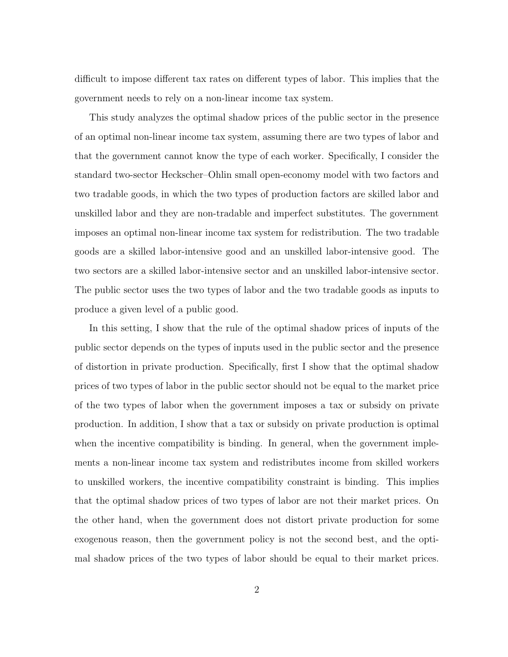difficult to impose different tax rates on different types of labor. This implies that the government needs to rely on a non-linear income tax system.

This study analyzes the optimal shadow prices of the public sector in the presence of an optimal non-linear income tax system, assuming there are two types of labor and that the government cannot know the type of each worker. Specifically, I consider the standard two-sector Heckscher–Ohlin small open-economy model with two factors and two tradable goods, in which the two types of production factors are skilled labor and unskilled labor and they are non-tradable and imperfect substitutes. The government imposes an optimal non-linear income tax system for redistribution. The two tradable goods are a skilled labor-intensive good and an unskilled labor-intensive good. The two sectors are a skilled labor-intensive sector and an unskilled labor-intensive sector. The public sector uses the two types of labor and the two tradable goods as inputs to produce a given level of a public good.

In this setting, I show that the rule of the optimal shadow prices of inputs of the public sector depends on the types of inputs used in the public sector and the presence of distortion in private production. Specifically, first I show that the optimal shadow prices of two types of labor in the public sector should not be equal to the market price of the two types of labor when the government imposes a tax or subsidy on private production. In addition, I show that a tax or subsidy on private production is optimal when the incentive compatibility is binding. In general, when the government implements a non-linear income tax system and redistributes income from skilled workers to unskilled workers, the incentive compatibility constraint is binding. This implies that the optimal shadow prices of two types of labor are not their market prices. On the other hand, when the government does not distort private production for some exogenous reason, then the government policy is not the second best, and the optimal shadow prices of the two types of labor should be equal to their market prices.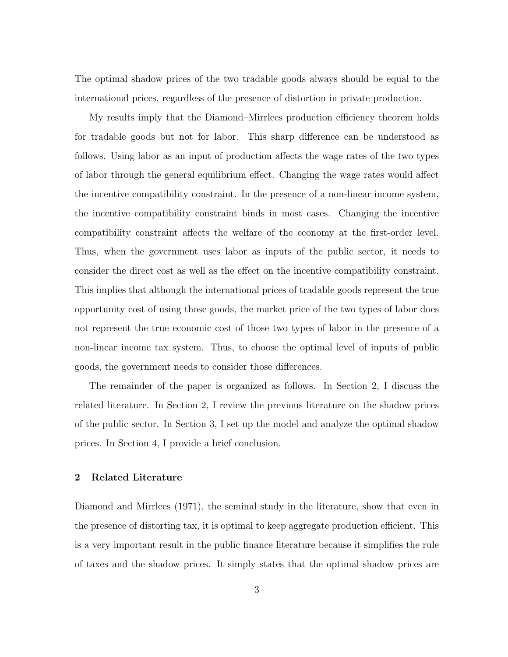The optimal shadow prices of the two tradable goods always should be equal to the international prices, regardless of the presence of distortion in private production.

My results imply that the Diamond–Mirrlees production efficiency theorem holds for tradable goods but not for labor. This sharp difference can be understood as follows. Using labor as an input of production affects the wage rates of the two types of labor through the general equilibrium effect. Changing the wage rates would affect the incentive compatibility constraint. In the presence of a non-linear income system, the incentive compatibility constraint binds in most cases. Changing the incentive compatibility constraint affects the welfare of the economy at the first-order level. Thus, when the government uses labor as inputs of the public sector, it needs to consider the direct cost as well as the effect on the incentive compatibility constraint. This implies that although the international prices of tradable goods represent the true opportunity cost of using those goods, the market price of the two types of labor does not represent the true economic cost of those two types of labor in the presence of a non-linear income tax system. Thus, to choose the optimal level of inputs of public goods, the government needs to consider those differences.

The remainder of the paper is organized as follows. In Section 2, I discuss the related literature. In Section 2, I review the previous literature on the shadow prices of the public sector. In Section 3, I set up the model and analyze the optimal shadow prices. In Section 4, I provide a brief conclusion.

# 2 Related Literature

Diamond and Mirrlees (1971), the seminal study in the literature, show that even in the presence of distorting tax, it is optimal to keep aggregate production efficient. This is a very important result in the public finance literature because it simplifies the rule of taxes and the shadow prices. It simply states that the optimal shadow prices are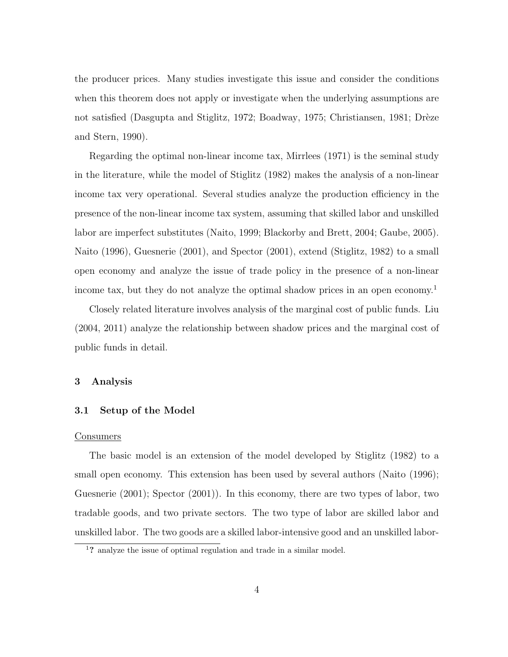the producer prices. Many studies investigate this issue and consider the conditions when this theorem does not apply or investigate when the underlying assumptions are not satisfied (Dasgupta and Stiglitz, 1972; Boadway, 1975; Christiansen, 1981; Drèze and Stern, 1990).

Regarding the optimal non-linear income tax, Mirrlees (1971) is the seminal study in the literature, while the model of Stiglitz (1982) makes the analysis of a non-linear income tax very operational. Several studies analyze the production efficiency in the presence of the non-linear income tax system, assuming that skilled labor and unskilled labor are imperfect substitutes (Naito, 1999; Blackorby and Brett, 2004; Gaube, 2005). Naito (1996), Guesnerie (2001), and Spector (2001), extend (Stiglitz, 1982) to a small open economy and analyze the issue of trade policy in the presence of a non-linear income tax, but they do not analyze the optimal shadow prices in an open economy.<sup>1</sup>

Closely related literature involves analysis of the marginal cost of public funds. Liu (2004, 2011) analyze the relationship between shadow prices and the marginal cost of public funds in detail.

# 3 Analysis

# 3.1 Setup of the Model

#### Consumers

The basic model is an extension of the model developed by Stiglitz (1982) to a small open economy. This extension has been used by several authors (Naito (1996); Guesnerie (2001); Spector (2001)). In this economy, there are two types of labor, two tradable goods, and two private sectors. The two type of labor are skilled labor and unskilled labor. The two goods are a skilled labor-intensive good and an unskilled labor-

<sup>1</sup>? analyze the issue of optimal regulation and trade in a similar model.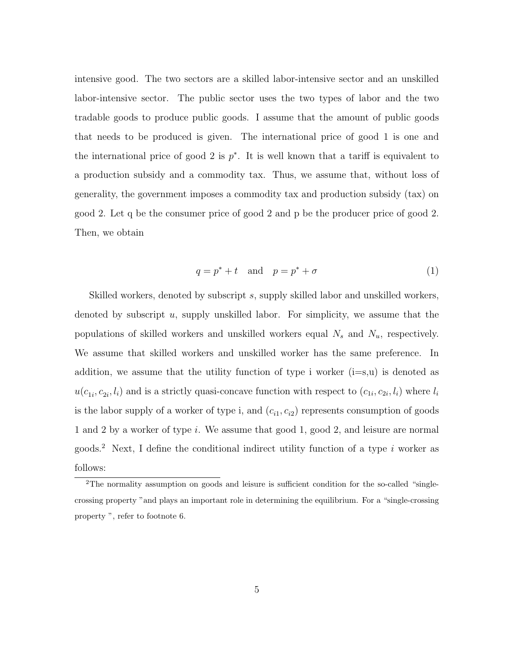intensive good. The two sectors are a skilled labor-intensive sector and an unskilled labor-intensive sector. The public sector uses the two types of labor and the two tradable goods to produce public goods. I assume that the amount of public goods that needs to be produced is given. The international price of good 1 is one and the international price of good 2 is  $p^*$ . It is well known that a tariff is equivalent to a production subsidy and a commodity tax. Thus, we assume that, without loss of generality, the government imposes a commodity tax and production subsidy (tax) on good 2. Let q be the consumer price of good 2 and p be the producer price of good 2. Then, we obtain

$$
q = p^* + t \quad \text{and} \quad p = p^* + \sigma \tag{1}
$$

Skilled workers, denoted by subscript s, supply skilled labor and unskilled workers, denoted by subscript  $u$ , supply unskilled labor. For simplicity, we assume that the populations of skilled workers and unskilled workers equal  $N_s$  and  $N_u$ , respectively. We assume that skilled workers and unskilled worker has the same preference. In addition, we assume that the utility function of type i worker  $(i=s,u)$  is denoted as  $u(c_{1i}, c_{2i}, l_i)$  and is a strictly quasi-concave function with respect to  $(c_{1i}, c_{2i}, l_i)$  where  $l_i$ is the labor supply of a worker of type i, and  $(c_{i1}, c_{i2})$  represents consumption of goods 1 and 2 by a worker of type i. We assume that good 1, good 2, and leisure are normal goods.<sup>2</sup> Next, I define the conditional indirect utility function of a type i worker as follows:

<sup>&</sup>lt;sup>2</sup>The normality assumption on goods and leisure is sufficient condition for the so-called "singlecrossing property "and plays an important role in determining the equilibrium. For a "single-crossing property ", refer to footnote 6.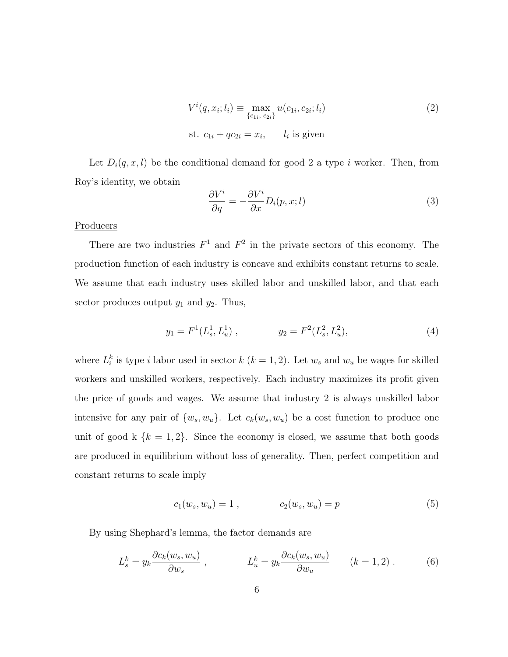$$
V^{i}(q, x_{i}; l_{i}) \equiv \max_{\{c_{1i}, c_{2i}\}} u(c_{1i}, c_{2i}; l_{i})
$$
\n
$$
\text{st. } c_{1i} + qc_{2i} = x_{i}, \qquad l_{i} \text{ is given}
$$
\n
$$
(2)
$$

Let  $D_i(q, x, l)$  be the conditional demand for good 2 a type i worker. Then, from Roy's identity, we obtain

$$
\frac{\partial V^i}{\partial q} = -\frac{\partial V^i}{\partial x} D_i(p, x; l) \tag{3}
$$

# **Producers**

There are two industries  $F^1$  and  $F^2$  in the private sectors of this economy. The production function of each industry is concave and exhibits constant returns to scale. We assume that each industry uses skilled labor and unskilled labor, and that each sector produces output  $y_1$  and  $y_2$ . Thus,

$$
y_1 = F^1(L_s^1, L_u^1) , \qquad y_2 = F^2(L_s^2, L_u^2), \qquad (4)
$$

where  $L_i^k$  is type i labor used in sector  $k$  ( $k = 1, 2$ ). Let  $w_s$  and  $w_u$  be wages for skilled workers and unskilled workers, respectively. Each industry maximizes its profit given the price of goods and wages. We assume that industry 2 is always unskilled labor intensive for any pair of  $\{w_s, w_u\}$ . Let  $c_k(w_s, w_u)$  be a cost function to produce one unit of good k  $\{k = 1, 2\}$ . Since the economy is closed, we assume that both goods are produced in equilibrium without loss of generality. Then, perfect competition and constant returns to scale imply

$$
c_1(w_s, w_u) = 1 , \t c_2(w_s, w_u) = p \t (5)
$$

By using Shephard's lemma, the factor demands are

$$
L_s^k = y_k \frac{\partial c_k(w_s, w_u)}{\partial w_s} , \qquad L_u^k = y_k \frac{\partial c_k(w_s, w_u)}{\partial w_u} \qquad (k = 1, 2) . \qquad (6)
$$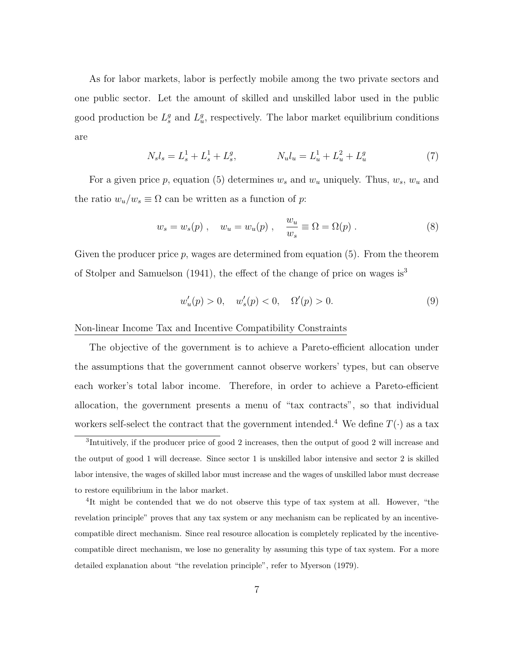As for labor markets, labor is perfectly mobile among the two private sectors and one public sector. Let the amount of skilled and unskilled labor used in the public good production be  $L_s^g$  and  $L_u^g$ , respectively. The labor market equilibrium conditions are

$$
N_s l_s = L_s^1 + L_s^1 + L_s^g, \qquad N_u l_u = L_u^1 + L_u^2 + L_u^g \tag{7}
$$

For a given price p, equation (5) determines  $w_s$  and  $w_u$  uniquely. Thus,  $w_s$ ,  $w_u$  and the ratio  $w_u/w_s \equiv \Omega$  can be written as a function of p:

$$
w_s = w_s(p) , \quad w_u = w_u(p) , \quad \frac{w_u}{w_s} \equiv \Omega = \Omega(p) . \tag{8}
$$

Given the producer price  $p$ , wages are determined from equation (5). From the theorem of Stolper and Samuelson (1941), the effect of the change of price on wages is<sup>3</sup>

$$
w'_u(p) > 0, \quad w'_s(p) < 0, \quad \Omega'(p) > 0.
$$
 (9)

Non-linear Income Tax and Incentive Compatibility Constraints

The objective of the government is to achieve a Pareto-efficient allocation under the assumptions that the government cannot observe workers' types, but can observe each worker's total labor income. Therefore, in order to achieve a Pareto-efficient allocation, the government presents a menu of "tax contracts", so that individual workers self-select the contract that the government intended.<sup>4</sup> We define  $T(\cdot)$  as a tax

<sup>&</sup>lt;sup>3</sup>Intuitively, if the producer price of good 2 increases, then the output of good 2 will increase and the output of good 1 will decrease. Since sector 1 is unskilled labor intensive and sector 2 is skilled labor intensive, the wages of skilled labor must increase and the wages of unskilled labor must decrease to restore equilibrium in the labor market.

<sup>&</sup>lt;sup>4</sup>It might be contended that we do not observe this type of tax system at all. However, "the revelation principle" proves that any tax system or any mechanism can be replicated by an incentivecompatible direct mechanism. Since real resource allocation is completely replicated by the incentivecompatible direct mechanism, we lose no generality by assuming this type of tax system. For a more detailed explanation about "the revelation principle", refer to Myerson (1979).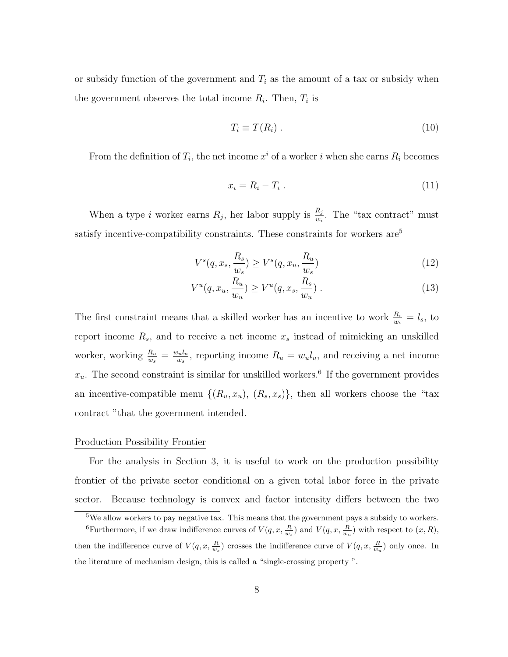or subsidy function of the government and  $T_i$  as the amount of a tax or subsidy when the government observes the total income  $R_i$ . Then,  $T_i$  is

$$
T_i \equiv T(R_i) \tag{10}
$$

From the definition of  $T_i$ , the net income  $x^i$  of a worker i when she earns  $R_i$  becomes

$$
x_i = R_i - T_i \tag{11}
$$

When a type *i* worker earns  $R_j$ , her labor supply is  $\frac{R_j}{w_i}$ . The "tax contract" must satisfy incentive-compatibility constraints. These constraints for workers  $are^5$ 

$$
V^s(q, x_s, \frac{R_s}{w_s}) \ge V^s(q, x_u, \frac{R_u}{w_s})
$$
\n
$$
(12)
$$

$$
V^{u}(q, x_{u}, \frac{R_{u}}{w_{u}}) \geq V^{u}(q, x_{s}, \frac{R_{s}}{w_{u}}).
$$
\n(13)

The first constraint means that a skilled worker has an incentive to work  $\frac{R_s}{w_s} = l_s$ , to report income  $R_s$ , and to receive a net income  $x_s$  instead of mimicking an unskilled worker, working  $\frac{R_u}{w_s} = \frac{w_u l_u}{w_s}$  $w_{w_s}^{v_u l_u}$ , reporting income  $R_u = w_u l_u$ , and receiving a net income  $x_u$ . The second constraint is similar for unskilled workers.<sup>6</sup> If the government provides an incentive-compatible menu  $\{(R_u, x_u), (R_s, x_s)\}\$ , then all workers choose the "tax" contract "that the government intended.

# Production Possibility Frontier

For the analysis in Section 3, it is useful to work on the production possibility frontier of the private sector conditional on a given total labor force in the private sector. Because technology is convex and factor intensity differs between the two

<sup>5</sup>We allow workers to pay negative tax. This means that the government pays a subsidy to workers.

<sup>&</sup>lt;sup>6</sup>Furthermore, if we draw indifference curves of  $V(q, x, \frac{R}{w_s})$  and  $V(q, x, \frac{R}{w_u})$  with respect to  $(x, R)$ , then the indifference curve of  $V(q, x, \frac{R}{w_s})$  crosses the indifference curve of  $V(q, x, \frac{R}{w_u})$  only once. In the literature of mechanism design, this is called a "single-crossing property ".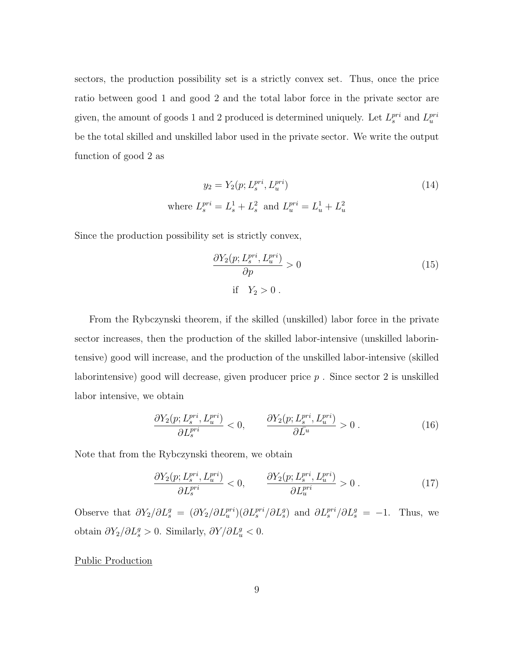sectors, the production possibility set is a strictly convex set. Thus, once the price ratio between good 1 and good 2 and the total labor force in the private sector are given, the amount of goods 1 and 2 produced is determined uniquely. Let  $L_s^{pri}$  and  $L_u^{pri}$ be the total skilled and unskilled labor used in the private sector. We write the output function of good 2 as

$$
y_2 = Y_2(p; L_s^{pri}, L_u^{pri})
$$
  
where  $L_s^{pri} = L_s^1 + L_s^2$  and  $L_u^{pri} = L_u^1 + L_u^2$  (14)

Since the production possibility set is strictly convex,

$$
\frac{\partial Y_2(p; L_s^{pri}, L_u^{pri})}{\partial p} > 0
$$
\nif  $Y_2 > 0$ .

\n(15)

From the Rybczynski theorem, if the skilled (unskilled) labor force in the private sector increases, then the production of the skilled labor-intensive (unskilled laborintensive) good will increase, and the production of the unskilled labor-intensive (skilled laborintensive) good will decrease, given producer price  $p$ . Since sector 2 is unskilled labor intensive, we obtain

$$
\frac{\partial Y_2(p; L_s^{pri}, L_u^{pri})}{\partial L_s^{pri}} < 0, \qquad \frac{\partial Y_2(p; L_s^{pri}, L_u^{pri})}{\partial \bar{L}^u} > 0 \tag{16}
$$

Note that from the Rybczynski theorem, we obtain

$$
\frac{\partial Y_2(p; L_s^{pri}, L_u^{pri})}{\partial L_s^{pri}} < 0, \qquad \frac{\partial Y_2(p; L_s^{pri}, L_u^{pri})}{\partial L_u^{pri}} > 0 \tag{17}
$$

Observe that  $\partial Y_2/\partial L_s^g = (\partial Y_2/\partial L_u^{pri})(\partial L_s^{pri}/\partial L_s^g)$  and  $\partial L_s^{pri}/\partial L_s^g = -1$ . Thus, we obtain  $\partial Y_2/\partial L_s^g > 0$ . Similarly,  $\partial Y/\partial L_u^g < 0$ .

# Public Production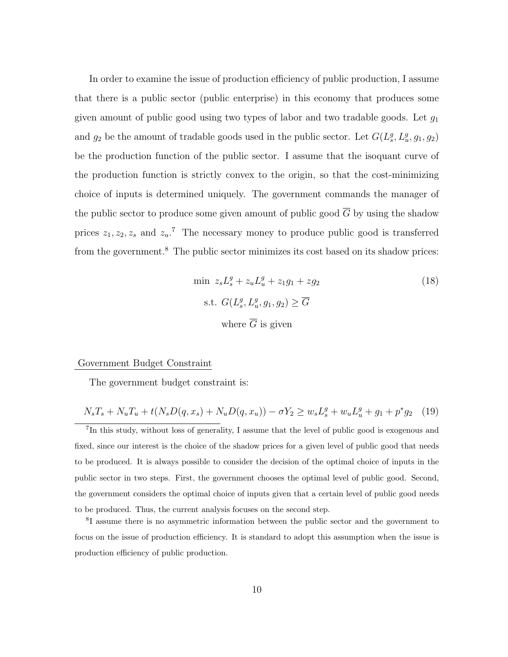In order to examine the issue of production efficiency of public production, I assume that there is a public sector (public enterprise) in this economy that produces some given amount of public good using two types of labor and two tradable goods. Let  $g_1$ and  $g_2$  be the amount of tradable goods used in the public sector. Let  $G(L_s^g, L_u^g, g_1, g_2)$ be the production function of the public sector. I assume that the isoquant curve of the production function is strictly convex to the origin, so that the cost-minimizing choice of inputs is determined uniquely. The government commands the manager of the public sector to produce some given amount of public good  $\overline{G}$  by using the shadow prices  $z_1, z_2, z_s$  and  $z_u$ <sup>7</sup>. The necessary money to produce public good is transferred from the government.<sup>8</sup> The public sector minimizes its cost based on its shadow prices:

$$
\min z_s L_s^g + z_u L_u^g + z_1 g_1 + z g_2
$$
\n
$$
\text{s.t. } G(L_s^g, L_u^g, g_1, g_2) \ge \overline{G}
$$
\n
$$
\text{where } \overline{G} \text{ is given}
$$
\n
$$
(18)
$$

#### Government Budget Constraint

The government budget constraint is:

$$
N_s T_s + N_u T_u + t(N_s D(q, x_s) + N_u D(q, x_u)) - \sigma Y_2 \ge w_s L_s^g + w_u L_u^g + g_1 + p^* g_2 \quad (19)
$$

<sup>7</sup>In this study, without loss of generality, I assume that the level of public good is exogenous and fixed, since our interest is the choice of the shadow prices for a given level of public good that needs to be produced. It is always possible to consider the decision of the optimal choice of inputs in the public sector in two steps. First, the government chooses the optimal level of public good. Second, the government considers the optimal choice of inputs given that a certain level of public good needs to be produced. Thus, the current analysis focuses on the second step.

8 I assume there is no asymmetric information between the public sector and the government to focus on the issue of production efficiency. It is standard to adopt this assumption when the issue is production efficiency of public production.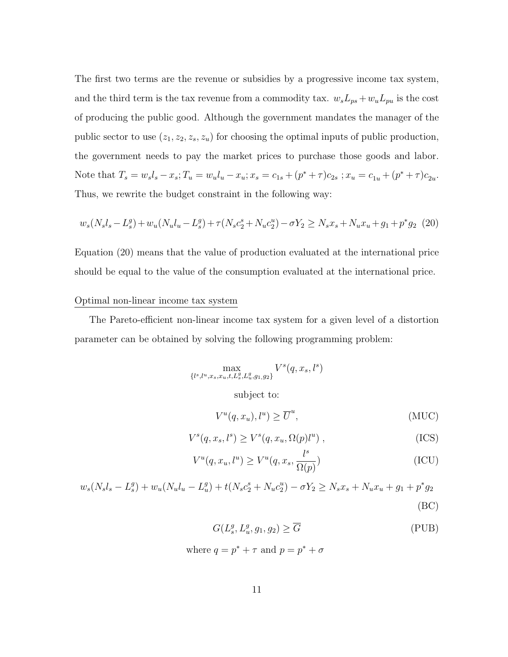The first two terms are the revenue or subsidies by a progressive income tax system, and the third term is the tax revenue from a commodity tax.  $w_s L_{ps} + w_u L_{pu}$  is the cost of producing the public good. Although the government mandates the manager of the public sector to use  $(z_1, z_2, z_s, z_u)$  for choosing the optimal inputs of public production, the government needs to pay the market prices to purchase those goods and labor. Note that  $T_s = w_s l_s - x_s$ ;  $T_u = w_u l_u - x_u$ ;  $x_s = c_{1s} + (p^* + \tau)c_{2s}$ ;  $x_u = c_{1u} + (p^* + \tau)c_{2u}$ . Thus, we rewrite the budget constraint in the following way:

$$
w_s(N_s l_s - L_s^g) + w_u(N_u l_u - L_s^g) + \tau(N_s c_2^s + N_u c_2^u) - \sigma Y_2 \ge N_s x_s + N_u x_u + g_1 + p^* g_2 \tag{20}
$$

Equation (20) means that the value of production evaluated at the international price should be equal to the value of the consumption evaluated at the international price.

# Optimal non-linear income tax system

The Pareto-efficient non-linear income tax system for a given level of a distortion parameter can be obtained by solving the following programming problem:

$$
\max_{\{l^s, l^u, x_s, x_u, t, L^g_s, L^g_u, g_1, g_2\}} V^s(q, x_s, l^s)
$$

subject to:

$$
V^u(q, x_u), l^u) \ge \overline{U}^u,
$$
\n(MUC)

$$
V^s(q, x_s, l^s) \ge V^s(q, x_u, \Omega(p)l^u) , \qquad (ICS)
$$

$$
V^{u}(q, x_{u}, l^{u}) \geq V^{u}(q, x_{s}, \frac{l^{s}}{\Omega(p)})
$$
\n(ICU)

 $w_s(N_s l_s - L_s^g) + w_u(N_u l_u - L_u^g) + t(N_s c_2^s + N_u c_2^u) - \sigma Y_2 \ge N_s x_s + N_u x_u + g_1 + p^* g_2$ (BC)

$$
G(L_s^g, L_u^g, g_1, g_2) \ge \overline{G} \tag{PUB}
$$

where 
$$
q = p^* + \tau
$$
 and  $p = p^* + \sigma$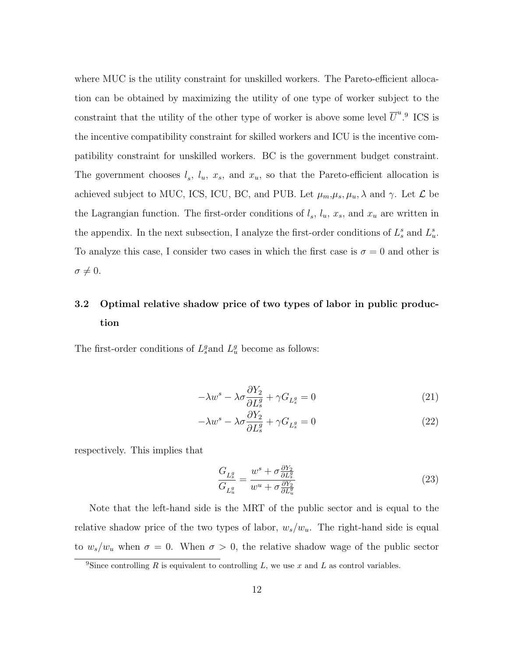where MUC is the utility constraint for unskilled workers. The Pareto-efficient allocation can be obtained by maximizing the utility of one type of worker subject to the constraint that the utility of the other type of worker is above some level  $\overline{U}^u$ .<sup>9</sup> ICS is the incentive compatibility constraint for skilled workers and ICU is the incentive compatibility constraint for unskilled workers. BC is the government budget constraint. The government chooses  $l_s$ ,  $l_u$ ,  $x_s$ , and  $x_u$ , so that the Pareto-efficient allocation is achieved subject to MUC, ICS, ICU, BC, and PUB. Let  $\mu_m, \mu_s, \mu_u, \lambda$  and  $\gamma$ . Let  $\mathcal{L}$  be the Lagrangian function. The first-order conditions of  $l_s$ ,  $l_u$ ,  $x_s$ , and  $x_u$  are written in the appendix. In the next subsection, I analyze the first-order conditions of  $L_s^s$  and  $L_u^s$ . To analyze this case, I consider two cases in which the first case is  $\sigma = 0$  and other is  $\sigma \neq 0.$ 

# 3.2 Optimal relative shadow price of two types of labor in public production

The first-order conditions of  $L_s^g$  and  $L_u^g$  become as follows:

$$
-\lambda w^s - \lambda \sigma \frac{\partial Y_2}{\partial L_s^g} + \gamma G_{L_s^g} = 0 \tag{21}
$$

$$
-\lambda w^s - \lambda \sigma \frac{\partial Y_2}{\partial L_s^g} + \gamma G_{L_s^g} = 0
$$
\n(22)

respectively. This implies that

$$
\frac{G_{L_s^g}}{G_{L_u^g}} = \frac{w^s + \sigma \frac{\partial Y_2}{\partial L_s^g}}{w^u + \sigma \frac{\partial Y_2}{\partial L_u^g}}
$$
(23)

Note that the left-hand side is the MRT of the public sector and is equal to the relative shadow price of the two types of labor,  $w_s/w_u$ . The right-hand side is equal to  $w_s/w_u$  when  $\sigma = 0$ . When  $\sigma > 0$ , the relative shadow wage of the public sector

<sup>&</sup>lt;sup>9</sup>Since controlling R is equivalent to controlling L, we use x and L as control variables.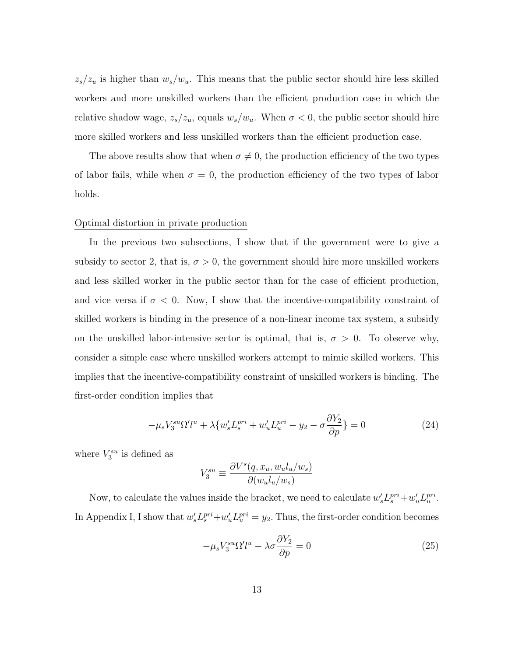$z_s/z_u$  is higher than  $w_s/w_u$ . This means that the public sector should hire less skilled workers and more unskilled workers than the efficient production case in which the relative shadow wage,  $z_s/z_u$ , equals  $w_s/w_u$ . When  $\sigma < 0$ , the public sector should hire more skilled workers and less unskilled workers than the efficient production case.

The above results show that when  $\sigma \neq 0$ , the production efficiency of the two types of labor fails, while when  $\sigma = 0$ , the production efficiency of the two types of labor holds.

# Optimal distortion in private production

In the previous two subsections, I show that if the government were to give a subsidy to sector 2, that is,  $\sigma > 0$ , the government should hire more unskilled workers and less skilled worker in the public sector than for the case of efficient production, and vice versa if  $\sigma < 0$ . Now, I show that the incentive-compatibility constraint of skilled workers is binding in the presence of a non-linear income tax system, a subsidy on the unskilled labor-intensive sector is optimal, that is,  $\sigma > 0$ . To observe why, consider a simple case where unskilled workers attempt to mimic skilled workers. This implies that the incentive-compatibility constraint of unskilled workers is binding. The first-order condition implies that

$$
-\mu_s V_3^{su} \Omega' l^u + \lambda \{ w_s' L_s^{pri} + w_u' L_u^{pri} - y_2 - \sigma \frac{\partial Y_2}{\partial p} \} = 0
$$
\n(24)

where  $V_3^{su}$  is defined as

$$
V_3^{su} \equiv \frac{\partial V^s(q,x_u,w_u l_u/w_s)}{\partial (w_u l_u/w_s)}
$$

Now, to calculate the values inside the bracket, we need to calculate  $w_s' L_s^{pri} + w_u' L_u^{pri}$ . In Appendix I, I show that  $w_s' L_s^{pri} + w_u' L_u^{pri} = y_2$ . Thus, the first-order condition becomes

$$
-\mu_s V_3^{su} \Omega' l^u - \lambda \sigma \frac{\partial Y_2}{\partial p} = 0
$$
\n(25)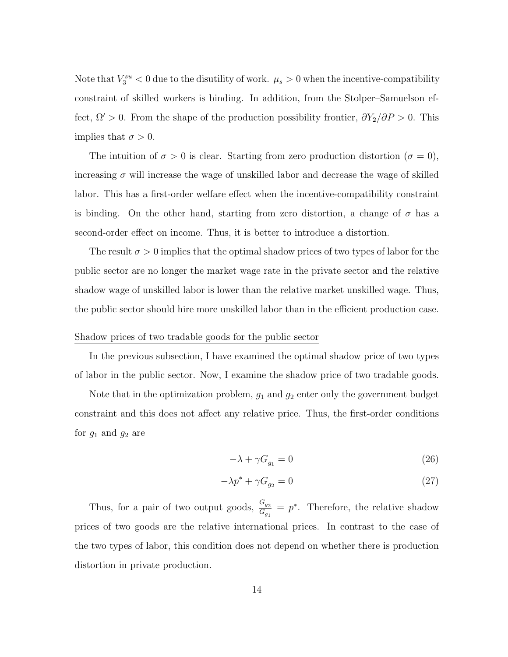Note that  $V_3^{su} < 0$  due to the disutility of work.  $\mu_s > 0$  when the incentive-compatibility constraint of skilled workers is binding. In addition, from the Stolper–Samuelson effect,  $\Omega' > 0$ . From the shape of the production possibility frontier,  $\partial Y_2/\partial P > 0$ . This implies that  $\sigma > 0$ .

The intuition of  $\sigma > 0$  is clear. Starting from zero production distortion  $(\sigma = 0)$ , increasing  $\sigma$  will increase the wage of unskilled labor and decrease the wage of skilled labor. This has a first-order welfare effect when the incentive-compatibility constraint is binding. On the other hand, starting from zero distortion, a change of  $\sigma$  has a second-order effect on income. Thus, it is better to introduce a distortion.

The result  $\sigma > 0$  implies that the optimal shadow prices of two types of labor for the public sector are no longer the market wage rate in the private sector and the relative shadow wage of unskilled labor is lower than the relative market unskilled wage. Thus, the public sector should hire more unskilled labor than in the efficient production case.

# Shadow prices of two tradable goods for the public sector

In the previous subsection, I have examined the optimal shadow price of two types of labor in the public sector. Now, I examine the shadow price of two tradable goods.

Note that in the optimization problem,  $g_1$  and  $g_2$  enter only the government budget constraint and this does not affect any relative price. Thus, the first-order conditions for  $g_1$  and  $g_2$  are

$$
-\lambda + \gamma G_{g_1} = 0 \tag{26}
$$

$$
-\lambda p^* + \gamma G_{g_2} = 0 \tag{27}
$$

Thus, for a pair of two output goods,  $\frac{G_{g_2}}{G_{g_1}} = p^*$ . Therefore, the relative shadow prices of two goods are the relative international prices. In contrast to the case of the two types of labor, this condition does not depend on whether there is production distortion in private production.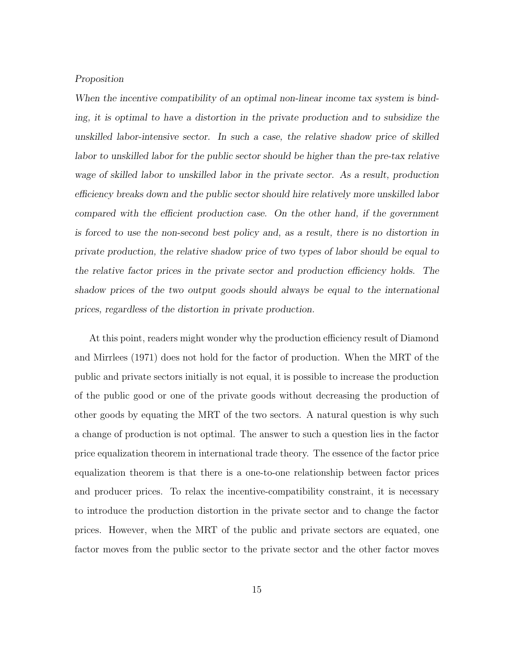# Proposition

When the incentive compatibility of an optimal non-linear income tax system is binding, it is optimal to have a distortion in the private production and to subsidize the unskilled labor-intensive sector. In such a case, the relative shadow price of skilled labor to unskilled labor for the public sector should be higher than the pre-tax relative wage of skilled labor to unskilled labor in the private sector. As a result, production efficiency breaks down and the public sector should hire relatively more unskilled labor compared with the efficient production case. On the other hand, if the government is forced to use the non-second best policy and, as a result, there is no distortion in private production, the relative shadow price of two types of labor should be equal to the relative factor prices in the private sector and production efficiency holds. The shadow prices of the two output goods should always be equal to the international prices, regardless of the distortion in private production.

At this point, readers might wonder why the production efficiency result of Diamond and Mirrlees (1971) does not hold for the factor of production. When the MRT of the public and private sectors initially is not equal, it is possible to increase the production of the public good or one of the private goods without decreasing the production of other goods by equating the MRT of the two sectors. A natural question is why such a change of production is not optimal. The answer to such a question lies in the factor price equalization theorem in international trade theory. The essence of the factor price equalization theorem is that there is a one-to-one relationship between factor prices and producer prices. To relax the incentive-compatibility constraint, it is necessary to introduce the production distortion in the private sector and to change the factor prices. However, when the MRT of the public and private sectors are equated, one factor moves from the public sector to the private sector and the other factor moves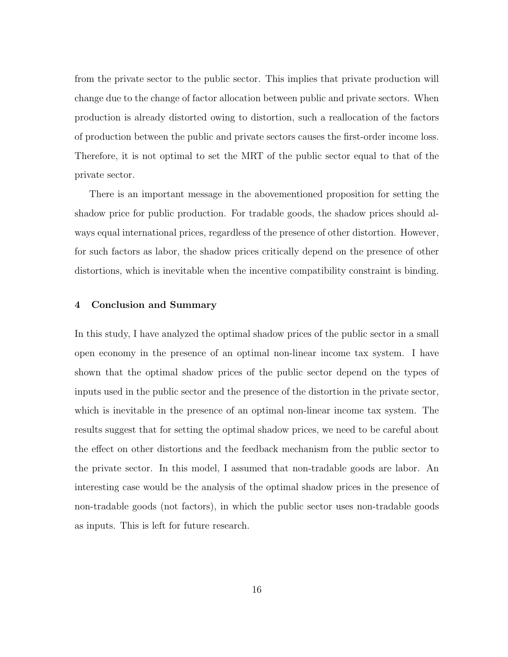from the private sector to the public sector. This implies that private production will change due to the change of factor allocation between public and private sectors. When production is already distorted owing to distortion, such a reallocation of the factors of production between the public and private sectors causes the first-order income loss. Therefore, it is not optimal to set the MRT of the public sector equal to that of the private sector.

There is an important message in the abovementioned proposition for setting the shadow price for public production. For tradable goods, the shadow prices should always equal international prices, regardless of the presence of other distortion. However, for such factors as labor, the shadow prices critically depend on the presence of other distortions, which is inevitable when the incentive compatibility constraint is binding.

# 4 Conclusion and Summary

In this study, I have analyzed the optimal shadow prices of the public sector in a small open economy in the presence of an optimal non-linear income tax system. I have shown that the optimal shadow prices of the public sector depend on the types of inputs used in the public sector and the presence of the distortion in the private sector, which is inevitable in the presence of an optimal non-linear income tax system. The results suggest that for setting the optimal shadow prices, we need to be careful about the effect on other distortions and the feedback mechanism from the public sector to the private sector. In this model, I assumed that non-tradable goods are labor. An interesting case would be the analysis of the optimal shadow prices in the presence of non-tradable goods (not factors), in which the public sector uses non-tradable goods as inputs. This is left for future research.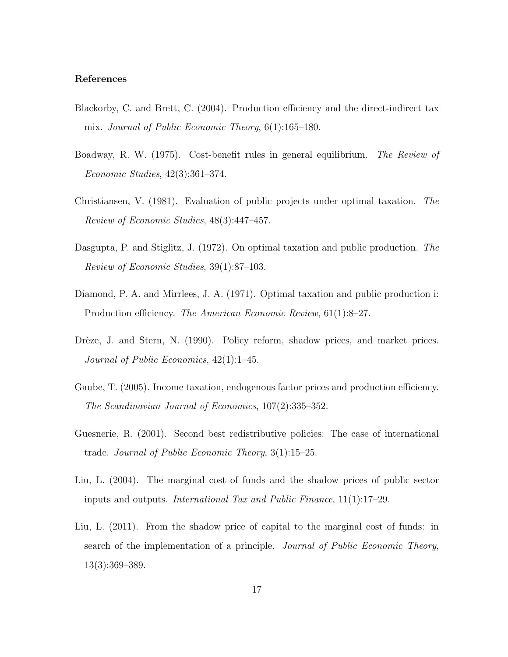# References

- Blackorby, C. and Brett, C. (2004). Production efficiency and the direct-indirect tax mix. Journal of Public Economic Theory, 6(1):165–180.
- Boadway, R. W. (1975). Cost-benefit rules in general equilibrium. The Review of Economic Studies, 42(3):361–374.
- Christiansen, V. (1981). Evaluation of public projects under optimal taxation. The Review of Economic Studies, 48(3):447–457.
- Dasgupta, P. and Stiglitz, J. (1972). On optimal taxation and public production. The Review of Economic Studies, 39(1):87–103.
- Diamond, P. A. and Mirrlees, J. A. (1971). Optimal taxation and public production i: Production efficiency. The American Economic Review, 61(1):8–27.
- Drèze, J. and Stern, N. (1990). Policy reform, shadow prices, and market prices. Journal of Public Economics, 42(1):1–45.
- Gaube, T. (2005). Income taxation, endogenous factor prices and production efficiency. The Scandinavian Journal of Economics, 107(2):335–352.
- Guesnerie, R. (2001). Second best redistributive policies: The case of international trade. Journal of Public Economic Theory, 3(1):15–25.
- Liu, L. (2004). The marginal cost of funds and the shadow prices of public sector inputs and outputs. International Tax and Public Finance, 11(1):17–29.
- Liu, L. (2011). From the shadow price of capital to the marginal cost of funds: in search of the implementation of a principle. Journal of Public Economic Theory, 13(3):369–389.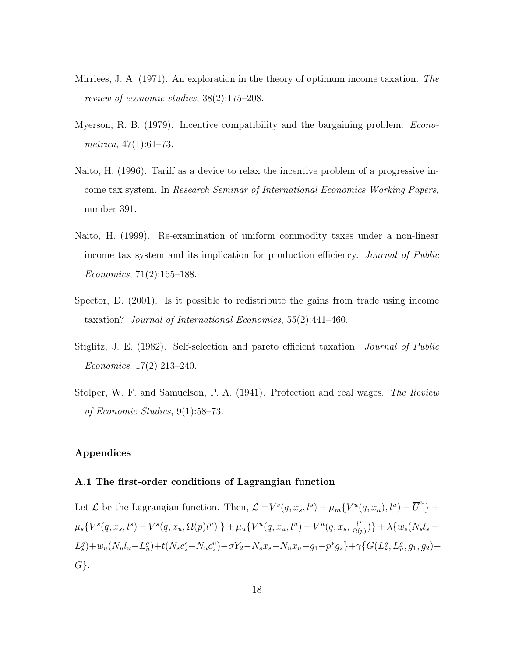- Mirrlees, J. A. (1971). An exploration in the theory of optimum income taxation. The review of economic studies, 38(2):175–208.
- Myerson, R. B. (1979). Incentive compatibility and the bargaining problem. *Econo*metrica, 47(1):61–73.
- Naito, H. (1996). Tariff as a device to relax the incentive problem of a progressive income tax system. In Research Seminar of International Economics Working Papers, number 391.
- Naito, H. (1999). Re-examination of uniform commodity taxes under a non-linear income tax system and its implication for production efficiency. Journal of Public Economics, 71(2):165–188.
- Spector, D. (2001). Is it possible to redistribute the gains from trade using income taxation? Journal of International Economics, 55(2):441–460.
- Stiglitz, J. E. (1982). Self-selection and pareto efficient taxation. Journal of Public Economics, 17(2):213–240.
- Stolper, W. F. and Samuelson, P. A. (1941). Protection and real wages. The Review of Economic Studies, 9(1):58–73.

# Appendices

# A.1 The first-order conditions of Lagrangian function

Let  $\mathcal L$  be the Lagrangian function. Then,  $\mathcal L = V^s(q, x_s, l^s) + \mu_m \{V^u(q, x_u), l^u) - \overline{U}^u\} +$  $\mu_s\{V^s(q,x_s,l^s)-V^s(q,x_u,\Omega(p)l^u)\}+\mu_u\{V^u(q,x_u,l^u)-V^u(q,x_s,\frac{l^s}{\Omega(q,1)}\}$  $\frac{l^{s}}{\Omega(p)})\}+\lambda\{w_{s}(N_{s}l_{s} L_{s}^{g})+w_{u}(N_{u}l_{u}-L_{u}^{g})+t(N_{s}c_{2}^{s}+N_{u}c_{2}^{u})-\sigma Y_{2}-N_{s}x_{s}-N_{u}x_{u}-g_{1}-p^{*}g_{2}\}+\gamma\{G(L_{s}^{g},L_{u}^{g},g_{1},g_{2})-G(L_{s}^{g},L_{u}^{g},g_{2})\}$  $\overline{G}$ .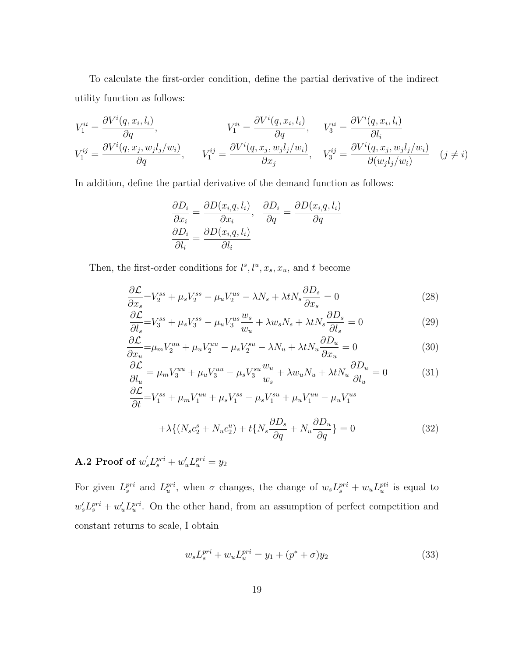To calculate the first-order condition, define the partial derivative of the indirect utility function as follows:

$$
V_1^{ii} = \frac{\partial V^i(q, x_i, l_i)}{\partial q}, \qquad V_1^{ii} = \frac{\partial V^i(q, x_i, l_i)}{\partial q}, \qquad V_3^{ii} = \frac{\partial V^i(q, x_i, l_i)}{\partial l_i}
$$

$$
V_1^{ij} = \frac{\partial V^i(q, x_j, w_j l_j/w_i)}{\partial q}, \qquad V_1^{ij} = \frac{\partial V^i(q, x_j, w_j l_j/w_i)}{\partial x_j}, \qquad V_3^{ij} = \frac{\partial V^i(q, x_j, w_j l_j/w_i)}{\partial (w_j l_j/w_i)} \quad (j \neq i)
$$

In addition, define the partial derivative of the demand function as follows:

$$
\frac{\partial D_i}{\partial x_i} = \frac{\partial D(x_i, q, l_i)}{\partial x_i}, \quad \frac{\partial D_i}{\partial q} = \frac{\partial D(x_i, q, l_i)}{\partial q}
$$

$$
\frac{\partial D_i}{\partial l_i} = \frac{\partial D(x_i, q, l_i)}{\partial l_i}
$$

Then, the first-order conditions for  $l^s, l^u, x_s, x_u$ , and t become

$$
\frac{\partial \mathcal{L}}{\partial x_s} = V_2^{ss} + \mu_s V_2^{ss} - \mu_u V_2^{us} - \lambda N_s + \lambda t N_s \frac{\partial D_s}{\partial x_s} = 0
$$
\n(28)

$$
\frac{\partial \mathcal{L}}{\partial l_s} = V_3^{ss} + \mu_s V_3^{ss} - \mu_u V_3^{us} \frac{w_s}{w_u} + \lambda w_s N_s + \lambda t N_s \frac{\partial D_s}{\partial l_s} = 0
$$
\n(29)

$$
\frac{\partial \mathcal{L}}{\partial x_u} = \mu_m V_2^{uu} + \mu_u V_2^{uu} - \mu_s V_2^{su} - \lambda N_u + \lambda t N_u \frac{\partial D_u}{\partial x_u} = 0 \tag{30}
$$

$$
\frac{\partial \mathcal{L}}{\partial l_u} = \mu_m V_3^{uu} + \mu_u V_3^{uu} - \mu_s V_3^{su} \frac{w_u}{w_s} + \lambda w_u N_u + \lambda t N_u \frac{\partial D_u}{\partial l_u} = 0 \tag{31}
$$

$$
\frac{\partial \mathcal{L}}{\partial t} = V_1^{ss} + \mu_m V_1^{uu} + \mu_s V_1^{ss} - \mu_s V_1^{su} + \mu_u V_1^{uu} - \mu_u V_1^{us}
$$

$$
+ \lambda \{ (N_s c_2^s + N_u c_2^u) + t \{ N_s \frac{\partial D_s}{\partial q} + N_u \frac{\partial D_u}{\partial q} \} = 0
$$
(32)

A.2 Proof of  $w_s' L_s^{pri} + w_u' L_u^{pri} = y_2$ 

For given  $L_s^{pri}$  and  $L_u^{pri}$ , when  $\sigma$  changes, the change of  $w_s L_s^{pri} + w_u L_u^{pti}$  is equal to  $w_s' L_s^{pri} + w_u' L_u^{pri}$ . On the other hand, from an assumption of perfect competition and constant returns to scale, I obtain

$$
w_s L_s^{pri} + w_u L_u^{pri} = y_1 + (p^* + \sigma)y_2 \tag{33}
$$